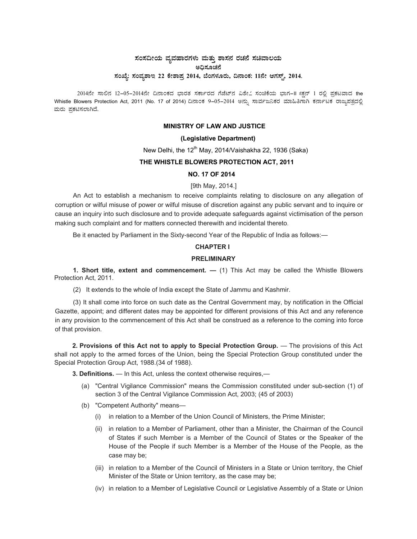# ಸಂಸದೀಯ ವ್ಯವಹಾರಗಳು ಮತ್ತು ಶಾಸನ ರಚನೆ ಸಚಿವಾಲಯ<br>ಅಧಿಸೂಚನೆ ಸಂಖ್ಯೆ: ಸಂವ್ನಶಾಇ 22 ಕೇಶಾಪ್ರ 2014, ಬೆಂಗಳೂರು, ದಿನಾಂಕ: 11ನೇ ಆಗಸ್ಟ್, 2014.

2014ನೇ ಸಾಲಿನ 12-05-2014ನೇ ದಿನಾಂಕದ ಭಾರತ ಸರ್ಕಾರದ ಗೆಜೆಟ್ ವಿಶೇ ಸಂಚಿಕೆಯ ಭಾಗ-II ಸಕ್ಷನ್ 1 ರಲ್ಲಿ ಪ್ರಕಟವಾದ the Whistle Blowers Protection Act, 2011 (No. 17 of 2014) ದಿನಾಂಕ 9–05–2014 ಅನ್ನು ಸಾರ್ವಜನಿಕರ ಮಾಹಿತಿಗಾಗಿ ಕರ್ನಾಟಕ ರಾಜ್ಯಪತ್ರದಲ್ಲಿ ಮರು ಪ್ರಕಟಿಸಲಾಗಿದೆ.

## **MINISTRY OF LAW AND JUSTICE**

## (Legislative Department)

New Delhi, the 12<sup>th</sup> May, 2014/Vaishakha 22, 1936 (Saka)

## THE WHISTLE BLOWERS PROTECTION ACT. 2011

#### **NO. 17 OF 2014**

#### [9th May, 2014.]

An Act to establish a mechanism to receive complaints relating to disclosure on any allegation of corruption or wilful misuse of power or wilful misuse of discretion against any public servant and to inquire or cause an inquiry into such disclosure and to provide adequate safeguards against victimisation of the person making such complaint and for matters connected therewith and incidental thereto.

Be it enacted by Parliament in the Sixty-second Year of the Republic of India as follows:-

# **CHAPTER I**

# **PRELIMINARY**

1. Short title, extent and commencement.  $-$  (1) This Act may be called the Whistle Blowers Protection Act, 2011.

(2) It extends to the whole of India except the State of Jammu and Kashmir.

(3) It shall come into force on such date as the Central Government may, by notification in the Official Gazette, appoint; and different dates may be appointed for different provisions of this Act and any reference in any provision to the commencement of this Act shall be construed as a reference to the coming into force of that provision.

2. Provisions of this Act not to apply to Special Protection Group. — The provisions of this Act shall not apply to the armed forces of the Union, being the Special Protection Group constituted under the Special Protection Group Act, 1988.(34 of 1988).

3. Definitions. - In this Act, unless the context otherwise requires,-

- (a) "Central Vigilance Commission" means the Commission constituted under sub-section (1) of section 3 of the Central Vigilance Commission Act, 2003; (45 of 2003)
- (b) "Competent Authority" means-
	- (i) in relation to a Member of the Union Council of Ministers, the Prime Minister;
	- (ii) in relation to a Member of Parliament, other than a Minister, the Chairman of the Council of States if such Member is a Member of the Council of States or the Speaker of the House of the People if such Member is a Member of the House of the People, as the case may be;
	- (iii) in relation to a Member of the Council of Ministers in a State or Union territory, the Chief Minister of the State or Union territory, as the case may be;
	- (iv) in relation to a Member of Legislative Council or Legislative Assembly of a State or Union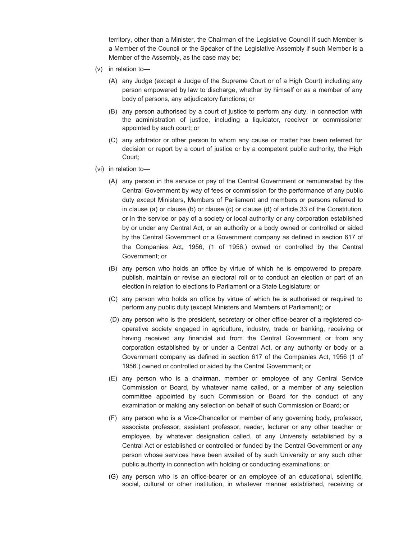territory, other than a Minister, the Chairman of the Legislative Council if such Member is a Member of the Council or the Speaker of the Legislative Assembly if such Member is a Member of the Assembly, as the case may be;

- (v) in relation to—
	- (A) any Judge (except a Judge of the Supreme Court or of a High Court) including any person empowered by law to discharge, whether by himself or as a member of any body of persons, any adjudicatory functions; or
	- (B) any person authorised by a court of justice to perform any duty, in connection with the administration of justice, including a liquidator, receiver or commissioner appointed by such court; or
	- (C) any arbitrator or other person to whom any cause or matter has been referred for decision or report by a court of justice or by a competent public authority, the High Court;
- (vi) in relation to—
	- (A) any person in the service or pay of the Central Government or remunerated by the Central Government by way of fees or commission for the performance of any public duty except Ministers, Members of Parliament and members or persons referred to in clause (a) or clause (b) or clause (c) or clause (d) of article 33 of the Constitution, or in the service or pay of a society or local authority or any corporation established by or under any Central Act, or an authority or a body owned or controlled or aided by the Central Government or a Government company as defined in section 617 of the Companies Act, 1956, (1 of 1956.) owned or controlled by the Central Government; or
	- (B) any person who holds an office by virtue of which he is empowered to prepare, publish, maintain or revise an electoral roll or to conduct an election or part of an election in relation to elections to Parliament or a State Legislature; or
	- (C) any person who holds an office by virtue of which he is authorised or required to perform any public duty (except Ministers and Members of Parliament); or
	- (D) any person who is the president, secretary or other office-bearer of a registered cooperative society engaged in agriculture, industry, trade or banking, receiving or having received any financial aid from the Central Government or from any corporation established by or under a Central Act, or any authority or body or a Government company as defined in section 617 of the Companies Act, 1956 (1 of 1956.) owned or controlled or aided by the Central Government; or
	- (E) any person who is a chairman, member or employee of any Central Service Commission or Board, by whatever name called, or a member of any selection committee appointed by such Commission or Board for the conduct of any examination or making any selection on behalf of such Commission or Board; or
	- (F) any person who is a Vice-Chancellor or member of any governing body, professor, associate professor, assistant professor, reader, lecturer or any other teacher or employee, by whatever designation called, of any University established by a Central Act or established or controlled or funded by the Central Government or any person whose services have been availed of by such University or any such other public authority in connection with holding or conducting examinations; or
	- (G) any person who is an office-bearer or an employee of an educational, scientific, social, cultural or other institution, in whatever manner established, receiving or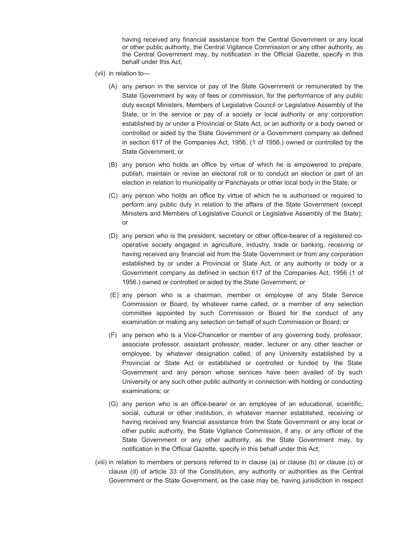having received any financial assistance from the Central Government or any local or other public authority, the Central Vigilance Commission or any other authority, as the Central Government may, by notification in the Official Gazette, specify in this behalf under this Act;

- (vii) in relation to—
	- (A) any person in the service or pay of the State Government or remunerated by the State Government by way of fees or commission, for the performance of any public duty except Ministers, Members of Legislative Council or Legislative Assembly of the State, or in the service or pay of a society or local authority or any corporation established by or under a Provincial or State Act, or an authority or a body owned or controlled or aided by the State Government or a Government company as defined in section 617 of the Companies Act, 1956, (1 of 1956.) owned or controlled by the State Government; or
	- (B) any person who holds an office by virtue of which he is empowered to prepare, publish, maintain or revise an electoral roll or to conduct an election or part of an election in relation to municipality or Panchayats or other local body in the State; or
	- (C) any person who holds an office by virtue of which he is authorised or required to perform any public duty in relation to the affairs of the State Government (except Ministers and Members of Legislative Council or Legislative Assembly of the State); or
	- (D) any person who is the president, secretary or other office-bearer of a registered cooperative society engaged in agriculture, industry, trade or banking, receiving or having received any financial aid from the State Government or from any corporation established by or under a Provincial or State Act, or any authority or body or a Government company as defined in section 617 of the Companies Act, 1956 (1 of 1956.) owned or controlled or aided by the State Government; or
	- (E) any person who is a chairman, member or employee of any State Service Commission or Board, by whatever name called, or a member of any selection committee appointed by such Commission or Board for the conduct of any examination or making any selection on behalf of such Commission or Board; or
	- (F) any person who is a Vice-Chancellor or member of any governing body, professor, associate professor, assistant professor, reader, lecturer or any other teacher or employee, by whatever designation called, of any University established by a Provincial or State Act or established or controlled or funded by the State Government and any person whose services have been availed of by such University or any such other public authority in connection with holding or conducting examinations; or
	- (G) any person who is an office-bearer or an employee of an educational, scientific, social, cultural or other institution, in whatever manner established, receiving or having received any financial assistance from the State Government or any local or other public authority, the State Vigilance Commission, if any, or any officer of the State Government or any other authority, as the State Government may, by notification in the Official Gazette, specify in this behalf under this Act;
- (viii) in relation to members or persons referred to in clause (a) or clause (b) or clause (c) or clause (d) of article 33 of the Constitution, any authority or authorities as the Central Government or the State Government, as the case may be, having jurisdiction in respect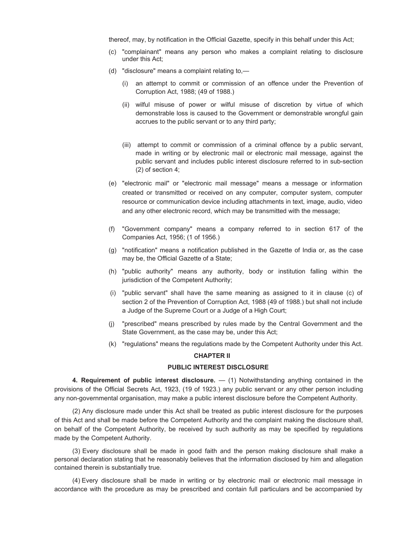thereof, may, by notification in the Official Gazette, specify in this behalf under this Act;

- (c) "complainant" means any person who makes a complaint relating to disclosure under this Act;
- (d) "disclosure" means a complaint relating to,—
	- (i) an attempt to commit or commission of an offence under the Prevention of Corruption Act, 1988; (49 of 1988.)
	- (ii) wilful misuse of power or wilful misuse of discretion by virtue of which demonstrable loss is caused to the Government or demonstrable wrongful gain accrues to the public servant or to any third party;
	- (iii) attempt to commit or commission of a criminal offence by a public servant, made in writing or by electronic mail or electronic mail message, against the public servant and includes public interest disclosure referred to in sub-section (2) of section 4;
- (e) "electronic mail" or "electronic mail message" means a message or information created or transmitted or received on any computer, computer system, computer resource or communication device including attachments in text, image, audio, video and any other electronic record, which may be transmitted with the message;
- (f) "Government company" means a company referred to in section 617 of the Companies Act, 1956; (1 of 1956.)
- (g) "notification" means a notification published in the Gazette of India or, as the case may be, the Official Gazette of a State;
- (h) "public authority" means any authority, body or institution falling within the jurisdiction of the Competent Authority;
- (i) "public servant" shall have the same meaning as assigned to it in clause (c) of section 2 of the Prevention of Corruption Act, 1988 (49 of 1988.) but shall not include a Judge of the Supreme Court or a Judge of a High Court;
- (j) "prescribed" means prescribed by rules made by the Central Government and the State Government, as the case may be, under this Act;
- (k) "regulations" means the regulations made by the Competent Authority under this Act.

#### **CHAPTER II**

#### **PUBLIC INTEREST DISCLOSURE**

**4. Requirement of public interest disclosure.** — (1) Notwithstanding anything contained in the provisions of the Official Secrets Act, 1923, (19 of 1923.) any public servant or any other person including any non-governmental organisation, may make a public interest disclosure before the Competent Authority.

(2) Any disclosure made under this Act shall be treated as public interest disclosure for the purposes of this Act and shall be made before the Competent Authority and the complaint making the disclosure shall, on behalf of the Competent Authority, be received by such authority as may be specified by regulations made by the Competent Authority.

(3) Every disclosure shall be made in good faith and the person making disclosure shall make a personal declaration stating that he reasonably believes that the information disclosed by him and allegation contained therein is substantially true.

(4) Every disclosure shall be made in writing or by electronic mail or electronic mail message in accordance with the procedure as may be prescribed and contain full particulars and be accompanied by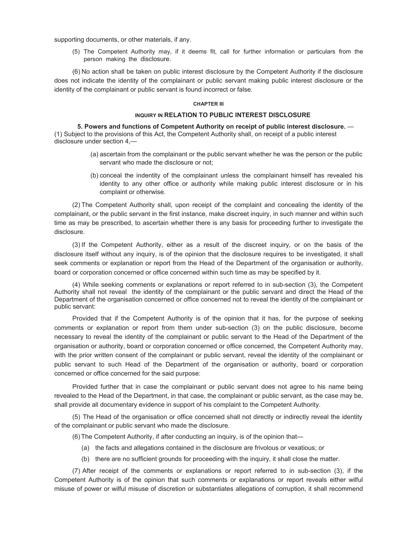supporting documents, or other materials, if any.

(5) The Competent Authority may, if it deems fit, call for further information or particulars from the person making the disclosure.

(6) No action shall be taken on public interest disclosure by the Competent Authority if the disclosure does not indicate the identity of the complainant or public servant making public interest disclosure or the identity of the complainant or public servant is found incorrect or false.

#### **CHAPTER III**

#### **INQUIRY IN RELATION TO PUBLIC INTEREST DISCLOSURE**

**5. Powers and functions of Competent Authority on receipt of public interest disclosure.** — (1) Subject to the provisions of this Act, the Competent Authority shall, on receipt of a public interest disclosure under section 4,—

- (a) ascertain from the complainant or the public servant whether he was the person or the public servant who made the disclosure or not;
- (b) conceal the indentity of the complainant unless the complainant himself has revealed his identity to any other office or authority while making public interest disclosure or in his complaint or otherwise.

(2) The Competent Authority shall, upon receipt of the complaint and concealing the identity of the complainant, or the public servant in the first instance, make discreet inquiry, in such manner and within such time as may be prescribed, to ascertain whether there is any basis for proceeding further to investigate the disclosure.

(3) If the Competent Authority, either as a result of the discreet inquiry, or on the basis of the disclosure itself without any inquiry, is of the opinion that the disclosure requires to be investigated, it shall seek comments or explanation or report from the Head of the Department of the organisation or authority, board or corporation concerned or office concerned within such time as may be specified by it.

(4) While seeking comments or explanations or report referred to in sub-section (3), the Competent Authority shall not reveal the identity of the complainant or the public servant and direct the Head of the Department of the organisation concerned or office concerned not to reveal the identity of the complainant or public servant:

Provided that if the Competent Authority is of the opinion that it has, for the purpose of seeking comments or explanation or report from them under sub-section (3) on the public disclosure, become necessary to reveal the identity of the complainant or public servant to the Head of the Department of the organisation or authority, board or corporation concerned or office concerned, the Competent Authority may, with the prior written consent of the complainant or public servant, reveal the identity of the complainant or public servant to such Head of the Department of the organisation or authority, board or corporation concerned or office concerned for the said purpose:

Provided further that in case the complainant or public servant does not agree to his name being revealed to the Head of the Department, in that case, the complainant or public servant, as the case may be, shall provide all documentary evidence in support of his complaint to the Competent Authority.

(5) The Head of the organisation or office concerned shall not directly or indirectly reveal the identity of the complainant or public servant who made the disclosure.

(6) The Competent Authority, if after conducting an inquiry, is of the opinion that—

- (a) the facts and allegations contained in the disclosure are frivolous or vexatious; or
- (b) there are no sufficient grounds for proceeding with the inquiry, it shall close the matter.

(7) After receipt of the comments or explanations or report referred to in sub-section (3), if the Competent Authority is of the opinion that such comments or explanations or report reveals either wilful misuse of power or wilful misuse of discretion or substantiates allegations of corruption, it shall recommend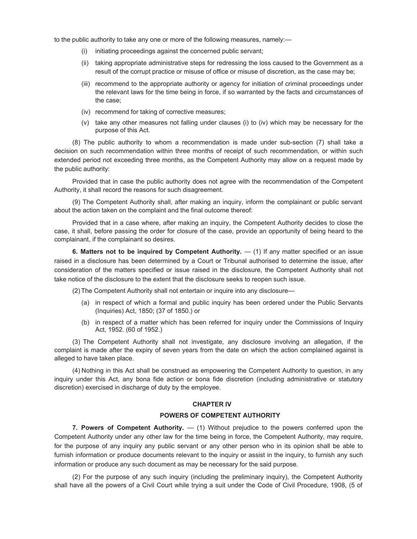to the public authority to take any one or more of the following measures, namely:—

- (i) initiating proceedings against the concerned public servant;
- (ii) taking appropriate administrative steps for redressing the loss caused to the Government as a result of the corrupt practice or misuse of office or misuse of discretion, as the case may be;
- (iii) recommend to the appropriate authority or agency for initiation of criminal proceedings under the relevant laws for the time being in force, if so warranted by the facts and circumstances of the case;
- (iv) recommend for taking of corrective measures;
- (v) take any other measures not falling under clauses (i) to (iv) which may be necessary for the purpose of this Act.

(8) The public authority to whom a recommendation is made under sub-section (7) shall take a decision on such recommendation within three months of receipt of such recommendation, or within such extended period not exceeding three months, as the Competent Authority may allow on a request made by the public authority:

Provided that in case the public authority does not agree with the recommendation of the Competent Authority, it shall record the reasons for such disagreement.

(9) The Competent Authority shall, after making an inquiry, inform the complainant or public servant about the action taken on the complaint and the final outcome thereof:

Provided that in a case where, after making an inquiry, the Competent Authority decides to close the case, it shall, before passing the order for closure of the case, provide an opportunity of being heard to the complainant, if the complainant so desires.

**6. Matters not to be inquired by Competent Authority.** — (1) If any matter specified or an issue raised in a disclosure has been determined by a Court or Tribunal authorised to determine the issue, after consideration of the matters specified or issue raised in the disclosure, the Competent Authority shall not take notice of the disclosure to the extent that the disclosure seeks to reopen such issue.

(2) The Competent Authority shall not entertain or inquire into any disclosure—

- (a) in respect of which a formal and public inquiry has been ordered under the Public Servants (Inquiries) Act, 1850; (37 of 1850.) or
- (b) in respect of a matter which has been referred for inquiry under the Commissions of Inquiry Act, 1952. (60 of 1952.)

(3) The Competent Authority shall not investigate, any disclosure involving an allegation, if the complaint is made after the expiry of seven years from the date on which the action complained against is alleged to have taken place.

(4) Nothing in this Act shall be construed as empowering the Competent Authority to question, in any inquiry under this Act, any bona fide action or bona fide discretion (including administrative or statutory discretion) exercised in discharge of duty by the employee.

#### **CHAPTER IV**

#### **POWERS OF COMPETENT AUTHORITY**

**7. Powers of Competent Authority.** — (1) Without prejudice to the powers conferred upon the Competent Authority under any other law for the time being in force, the Competent Authority, may require, for the purpose of any inquiry any public servant or any other person who in its opinion shall be able to furnish information or produce documents relevant to the inquiry or assist in the inquiry, to furnish any such information or produce any such document as may be necessary for the said purpose.

(2) For the purpose of any such inquiry (including the preliminary inquiry), the Competent Authority shall have all the powers of a Civil Court while trying a suit under the Code of Civil Procedure, 1908, (5 of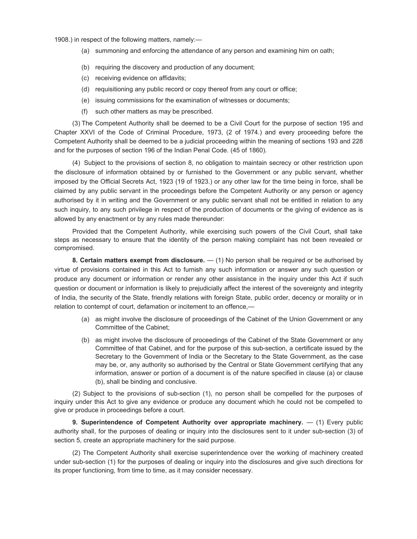1908.) in respect of the following matters, namely:—

- (a) summoning and enforcing the attendance of any person and examining him on oath;
- (b) requiring the discovery and production of any document;
- (c) receiving evidence on affidavits;
- (d) requisitioning any public record or copy thereof from any court or office;
- (e) issuing commissions for the examination of witnesses or documents;
- (f) such other matters as may be prescribed.

(3) The Competent Authority shall be deemed to be a Civil Court for the purpose of section 195 and Chapter XXVI of the Code of Criminal Procedure, 1973, (2 of 1974.) and every proceeding before the Competent Authority shall be deemed to be a judicial proceeding within the meaning of sections 193 and 228 and for the purposes of section 196 of the Indian Penal Code. (45 of 1860).

(4) Subject to the provisions of section 8, no obligation to maintain secrecy or other restriction upon the disclosure of information obtained by or furnished to the Government or any public servant, whether imposed by the Official Secrets Act, 1923 (19 of 1923.) or any other law for the time being in force, shall be claimed by any public servant in the proceedings before the Competent Authority or any person or agency authorised by it in writing and the Government or any public servant shall not be entitled in relation to any such inquiry, to any such privilege in respect of the production of documents or the giving of evidence as is allowed by any enactment or by any rules made thereunder:

Provided that the Competent Authority, while exercising such powers of the Civil Court, shall take steps as necessary to ensure that the identity of the person making complaint has not been revealed or compromised.

**8. Certain matters exempt from disclosure.** — (1) No person shall be required or be authorised by virtue of provisions contained in this Act to furnish any such information or answer any such question or produce any document or information or render any other assistance in the inquiry under this Act if such question or document or information is likely to prejudicially affect the interest of the sovereignty and integrity of India, the security of the State, friendly relations with foreign State, public order, decency or morality or in relation to contempt of court, defamation or incitement to an offence,—

- (a) as might involve the disclosure of proceedings of the Cabinet of the Union Government or any Committee of the Cabinet;
- (b) as might involve the disclosure of proceedings of the Cabinet of the State Government or any Committee of that Cabinet, and for the purpose of this sub-section, a certificate issued by the Secretary to the Government of India or the Secretary to the State Government, as the case may be, or, any authority so authorised by the Central or State Government certifying that any information, answer or portion of a document is of the nature specified in clause (a) or clause (b), shall be binding and conclusive.

(2) Subject to the provisions of sub-section (1), no person shall be compelled for the purposes of inquiry under this Act to give any evidence or produce any document which he could not be compelled to give or produce in proceedings before a court.

**9. Superintendence of Competent Authority over appropriate machinery.**  $-$  (1) Every public authority shall, for the purposes of dealing or inquiry into the disclosures sent to it under sub-section (3) of section 5, create an appropriate machinery for the said purpose.

(2) The Competent Authority shall exercise superintendence over the working of machinery created under sub-section (1) for the purposes of dealing or inquiry into the disclosures and give such directions for its proper functioning, from time to time, as it may consider necessary.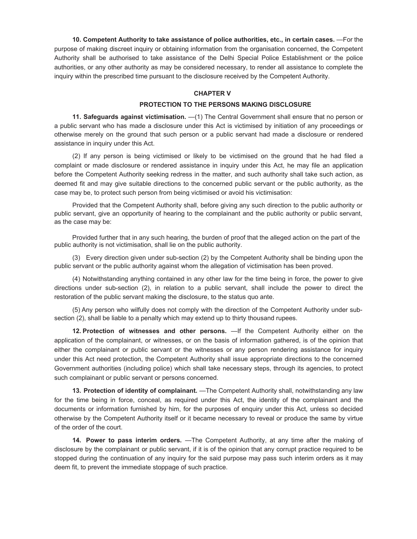**10. Competent Authority to take assistance of police authorities, etc., in certain cases.** —For the purpose of making discreet inquiry or obtaining information from the organisation concerned, the Competent Authority shall be authorised to take assistance of the Delhi Special Police Establishment or the police authorities, or any other authority as may be considered necessary, to render all assistance to complete the inquiry within the prescribed time pursuant to the disclosure received by the Competent Authority.

# **CHAPTER V**

# **PROTECTION TO THE PERSONS MAKING DISCLOSURE**

**11. Safeguards against victimisation.** —(1) The Central Government shall ensure that no person or a public servant who has made a disclosure under this Act is victimised by initiation of any proceedings or otherwise merely on the ground that such person or a public servant had made a disclosure or rendered assistance in inquiry under this Act.

(2) If any person is being victimised or likely to be victimised on the ground that he had filed a complaint or made disclosure or rendered assistance in inquiry under this Act, he may file an application before the Competent Authority seeking redress in the matter, and such authority shall take such action, as deemed fit and may give suitable directions to the concerned public servant or the public authority, as the case may be, to protect such person from being victimised or avoid his victimisation:

Provided that the Competent Authority shall, before giving any such direction to the public authority or public servant, give an opportunity of hearing to the complainant and the public authority or public servant, as the case may be:

Provided further that in any such hearing, the burden of proof that the alleged action on the part of the public authority is not victimisation, shall lie on the public authority.

(3) Every direction given under sub-section (2) by the Competent Authority shall be binding upon the public servant or the public authority against whom the allegation of victimisation has been proved.

(4) Notwithstanding anything contained in any other law for the time being in force, the power to give directions under sub-section (2), in relation to a public servant, shall include the power to direct the restoration of the public servant making the disclosure, to the status quo ante.

(5) Any person who wilfully does not comply with the direction of the Competent Authority under subsection (2), shall be liable to a penalty which may extend up to thirty thousand rupees.

**12. Protection of witnesses and other persons.** —If the Competent Authority either on the application of the complainant, or witnesses, or on the basis of information gathered, is of the opinion that either the complainant or public servant or the witnesses or any person rendering assistance for inquiry under this Act need protection, the Competent Authority shall issue appropriate directions to the concerned Government authorities (including police) which shall take necessary steps, through its agencies, to protect such complainant or public servant or persons concerned.

**13. Protection of identity of complainant.** —The Competent Authority shall, notwithstanding any law for the time being in force, conceal, as required under this Act, the identity of the complainant and the documents or information furnished by him, for the purposes of enquiry under this Act, unless so decided otherwise by the Competent Authority itself or it became necessary to reveal or produce the same by virtue of the order of the court.

**14. Power to pass interim orders.** —The Competent Authority, at any time after the making of disclosure by the complainant or public servant, if it is of the opinion that any corrupt practice required to be stopped during the continuation of any inquiry for the said purpose may pass such interim orders as it may deem fit, to prevent the immediate stoppage of such practice.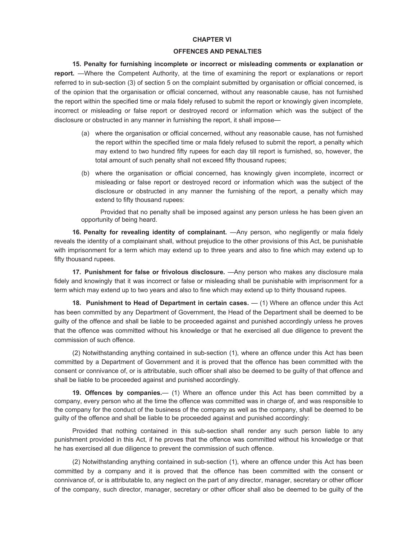#### **CHAPTER VI**

#### **OFFENCES AND PENALTIES**

**15. Penalty for furnishing incomplete or incorrect or misleading comments or explanation or report.** —Where the Competent Authority, at the time of examining the report or explanations or report referred to in sub-section (3) of section 5 on the complaint submitted by organisation or official concerned, is of the opinion that the organisation or official concerned, without any reasonable cause, has not furnished the report within the specified time or mala fidely refused to submit the report or knowingly given incomplete, incorrect or misleading or false report or destroyed record or information which was the subject of the disclosure or obstructed in any manner in furnishing the report, it shall impose—

- (a) where the organisation or official concerned, without any reasonable cause, has not furnished the report within the specified time or mala fidely refused to submit the report, a penalty which may extend to two hundred fifty rupees for each day till report is furnished, so, however, the total amount of such penalty shall not exceed fifty thousand rupees;
- (b) where the organisation or official concerned, has knowingly given incomplete, incorrect or misleading or false report or destroyed record or information which was the subject of the disclosure or obstructed in any manner the furnishing of the report, a penalty which may extend to fifty thousand rupees:

Provided that no penalty shall be imposed against any person unless he has been given an opportunity of being heard.

**16. Penalty for revealing identity of complainant.** —Any person, who negligently or mala fidely reveals the identity of a complainant shall, without prejudice to the other provisions of this Act, be punishable with imprisonment for a term which may extend up to three years and also to fine which may extend up to fifty thousand rupees.

**17. Punishment for false or frivolous disclosure.** —Any person who makes any disclosure mala fidely and knowingly that it was incorrect or false or misleading shall be punishable with imprisonment for a term which may extend up to two years and also to fine which may extend up to thirty thousand rupees.

**18. Punishment to Head of Department in certain cases.**  $-$  (1) Where an offence under this Act has been committed by any Department of Government, the Head of the Department shall be deemed to be guilty of the offence and shall be liable to be proceeded against and punished accordingly unless he proves that the offence was committed without his knowledge or that he exercised all due diligence to prevent the commission of such offence.

(2) Notwithstanding anything contained in sub-section (1), where an offence under this Act has been committed by a Department of Government and it is proved that the offence has been committed with the consent or connivance of, or is attributable, such officer shall also be deemed to be guilty of that offence and shall be liable to be proceeded against and punished accordingly.

**19. Offences by companies.**— (1) Where an offence under this Act has been committed by a company, every person who at the time the offence was committed was in charge of, and was responsible to the company for the conduct of the business of the company as well as the company, shall be deemed to be guilty of the offence and shall be liable to be proceeded against and punished accordingly:

Provided that nothing contained in this sub-section shall render any such person liable to any punishment provided in this Act, if he proves that the offence was committed without his knowledge or that he has exercised all due diligence to prevent the commission of such offence.

(2) Notwithstanding anything contained in sub-section (1), where an offence under this Act has been committed by a company and it is proved that the offence has been committed with the consent or connivance of, or is attributable to, any neglect on the part of any director, manager, secretary or other officer of the company, such director, manager, secretary or other officer shall also be deemed to be guilty of the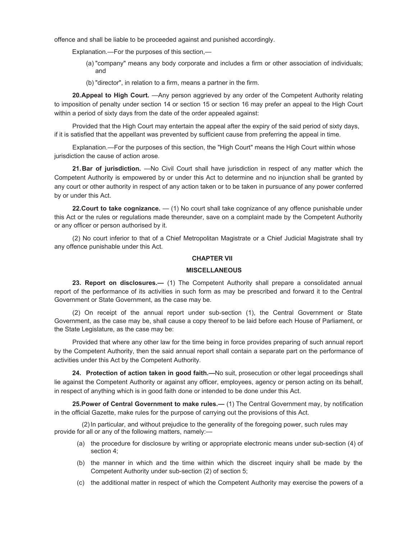offence and shall be liable to be proceeded against and punished accordingly.

Explanation.—For the purposes of this section,—

- (a) "company" means any body corporate and includes a firm or other association of individuals; and
- (b) "director", in relation to a firm, means a partner in the firm.

**20. Appeal to High Court.** —Any person aggrieved by any order of the Competent Authority relating to imposition of penalty under section 14 or section 15 or section 16 may prefer an appeal to the High Court within a period of sixty days from the date of the order appealed against:

Provided that the High Court may entertain the appeal after the expiry of the said period of sixty days, if it is satisfied that the appellant was prevented by sufficient cause from preferring the appeal in time.

Explanation.—For the purposes of this section, the "High Court" means the High Court within whose jurisdiction the cause of action arose.

**21. Bar of jurisdiction.** —No Civil Court shall have jurisdiction in respect of any matter which the Competent Authority is empowered by or under this Act to determine and no injunction shall be granted by any court or other authority in respect of any action taken or to be taken in pursuance of any power conferred by or under this Act.

**22. Court to take cognizance.** — (1) No court shall take cognizance of any offence punishable under this Act or the rules or regulations made thereunder, save on a complaint made by the Competent Authority or any officer or person authorised by it.

(2) No court inferior to that of a Chief Metropolitan Magistrate or a Chief Judicial Magistrate shall try any offence punishable under this Act.

## **CHAPTER VII**

# **MISCELLANEOUS**

**23. Report on disclosures.—** (1) The Competent Authority shall prepare a consolidated annual report of the performance of its activities in such form as may be prescribed and forward it to the Central Government or State Government, as the case may be.

(2) On receipt of the annual report under sub-section (1), the Central Government or State Government, as the case may be, shall cause a copy thereof to be laid before each House of Parliament, or the State Legislature, as the case may be:

Provided that where any other law for the time being in force provides preparing of such annual report by the Competent Authority, then the said annual report shall contain a separate part on the performance of activities under this Act by the Competent Authority.

**24. Protection of action taken in good faith.—**No suit, prosecution or other legal proceedings shall lie against the Competent Authority or against any officer, employees, agency or person acting on its behalf, in respect of anything which is in good faith done or intended to be done under this Act.

**25. Power of Central Government to make rules.—** (1) The Central Government may, by notification in the official Gazette, make rules for the purpose of carrying out the provisions of this Act.

 (2)In particular, and without prejudice to the generality of the foregoing power, such rules may provide for all or any of the following matters, namely:—

- (a) the procedure for disclosure by writing or appropriate electronic means under sub-section (4) of section 4;
- (b) the manner in which and the time within which the discreet inquiry shall be made by the Competent Authority under sub-section (2) of section 5;
- (c) the additional matter in respect of which the Competent Authority may exercise the powers of a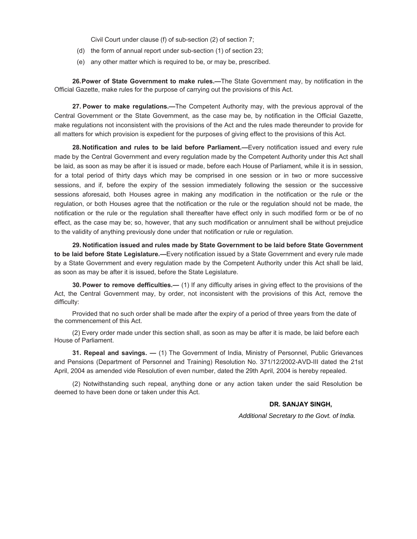Civil Court under clause (f) of sub-section (2) of section 7;

- (d) the form of annual report under sub-section (1) of section 23;
- (e) any other matter which is required to be, or may be, prescribed.

**26. Power of State Government to make rules.—**The State Government may, by notification in the Official Gazette, make rules for the purpose of carrying out the provisions of this Act.

**27. Power to make regulations.—**The Competent Authority may, with the previous approval of the Central Government or the State Government, as the case may be, by notification in the Official Gazette, make regulations not inconsistent with the provisions of the Act and the rules made thereunder to provide for all matters for which provision is expedient for the purposes of giving effect to the provisions of this Act.

**28. Notification and rules to be laid before Parliament.—**Every notification issued and every rule made by the Central Government and every regulation made by the Competent Authority under this Act shall be laid, as soon as may be after it is issued or made, before each House of Parliament, while it is in session, for a total period of thirty days which may be comprised in one session or in two or more successive sessions, and if, before the expiry of the session immediately following the session or the successive sessions aforesaid, both Houses agree in making any modification in the notification or the rule or the regulation, or both Houses agree that the notification or the rule or the regulation should not be made, the notification or the rule or the regulation shall thereafter have effect only in such modified form or be of no effect, as the case may be; so, however, that any such modification or annulment shall be without prejudice to the validity of anything previously done under that notification or rule or regulation.

**29. Notification issued and rules made by State Government to be laid before State Government to be laid before State Legislature.—**Every notification issued by a State Government and every rule made by a State Government and every regulation made by the Competent Authority under this Act shall be laid, as soon as may be after it is issued, before the State Legislature.

**30. Power to remove defficulties.—** (1) If any difficulty arises in giving effect to the provisions of the Act, the Central Government may, by order, not inconsistent with the provisions of this Act, remove the difficulty:

Provided that no such order shall be made after the expiry of a period of three years from the date of the commencement of this Act.

(2) Every order made under this section shall, as soon as may be after it is made, be laid before each House of Parliament.

**31. Repeal and savings. —** (1) The Government of India, Ministry of Personnel, Public Grievances and Pensions (Department of Personnel and Training) Resolution No. 371/12/2002-AVD-III dated the 21st April, 2004 as amended vide Resolution of even number, dated the 29th April, 2004 is hereby repealed.

(2) Notwithstanding such repeal, anything done or any action taken under the said Resolution be deemed to have been done or taken under this Act.

# **DR. SANJAY SINGH,**

*Additional Secretary to the Govt. of India.*